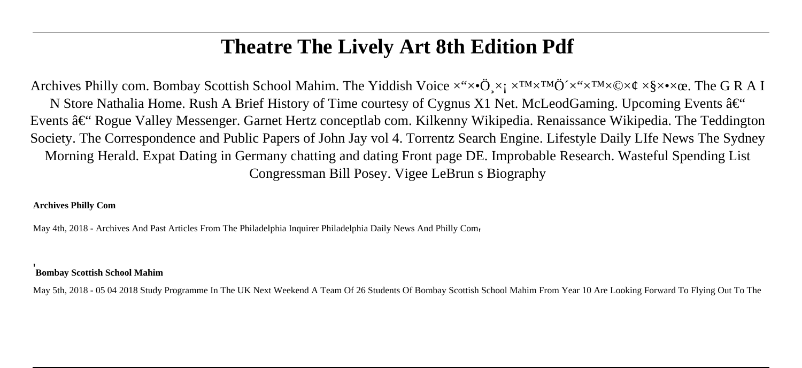# **Theatre The Lively Art 8th Edition Pdf**

Archives Philly com. Bombay Scottish School Mahim. The Yiddish Voice  $x^4x \cdot \mathbf{O}$ ,  $x_1 x^{TM} \times T^M \times T^M \times \mathbf{O} \times \mathbf{C}$ ,  $x_2 x^3 \times x^2 \times T^M \times \mathbf{O} \times \mathbf{C}$ . The G R A I N Store Nathalia Home. Rush A Brief History of Time courtesy of Cygnus X1 Net. McLeodGaming. Upcoming Events  $\hat{a}\in\mathcal{C}$ Events †Rogue Valley Messenger. Garnet Hertz conceptlab com. Kilkenny Wikipedia. Renaissance Wikipedia. The Teddington Society. The Correspondence and Public Papers of John Jay vol 4. Torrentz Search Engine. Lifestyle Daily LIfe News The Sydney Morning Herald. Expat Dating in Germany chatting and dating Front page DE. Improbable Research. Wasteful Spending List Congressman Bill Posey. Vigee LeBrun s Biography

#### **Archives Philly Com**

May 4th, 2018 - Archives And Past Articles From The Philadelphia Inquirer Philadelphia Daily News And Philly Come

#### '**Bombay Scottish School Mahim**

May 5th, 2018 - 05 04 2018 Study Programme In The UK Next Weekend A Team Of 26 Students Of Bombay Scottish School Mahim From Year 10 Are Looking Forward To Flying Out To The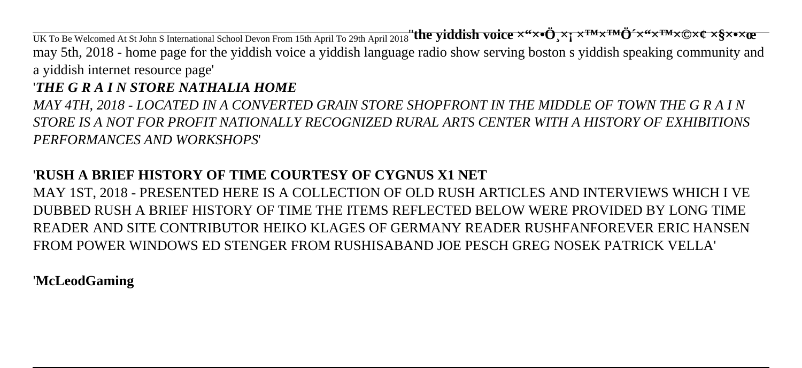UK To Be Welcomed At St John S International School Devon From 15th April To 29th April 2018"**the yiddish voice x**"x\*d" <sub>></sub>x; x<sup>TM</sup>x<sup>TM</sup>Q"x"x<sup>TM</sup>x©x¢ x\$x\*x**tE** may 5th, 2018 - home page for the yiddish voice a yiddish language radio show serving boston s yiddish speaking community and a yiddish internet resource page'

### '*THE G R A I N STORE NATHALIA HOME*

*MAY 4TH, 2018 - LOCATED IN A CONVERTED GRAIN STORE SHOPFRONT IN THE MIDDLE OF TOWN THE G R A I N STORE IS A NOT FOR PROFIT NATIONALLY RECOGNIZED RURAL ARTS CENTER WITH A HISTORY OF EXHIBITIONS PERFORMANCES AND WORKSHOPS*'

## '**RUSH A BRIEF HISTORY OF TIME COURTESY OF CYGNUS X1 NET**

MAY 1ST, 2018 - PRESENTED HERE IS A COLLECTION OF OLD RUSH ARTICLES AND INTERVIEWS WHICH I VE DUBBED RUSH A BRIEF HISTORY OF TIME THE ITEMS REFLECTED BELOW WERE PROVIDED BY LONG TIME READER AND SITE CONTRIBUTOR HEIKO KLAGES OF GERMANY READER RUSHFANFOREVER ERIC HANSEN FROM POWER WINDOWS ED STENGER FROM RUSHISABAND JOE PESCH GREG NOSEK PATRICK VELLA'

### '**McLeodGaming**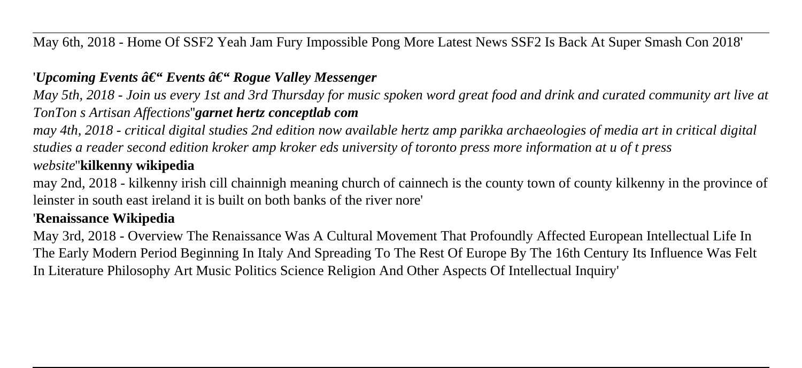May 6th, 2018 - Home Of SSF2 Yeah Jam Fury Impossible Pong More Latest News SSF2 Is Back At Super Smash Con 2018'

#### '*Upcoming Events â€*" Events â€" Rogue Valley Messenger

*May 5th, 2018 - Join us every 1st and 3rd Thursday for music spoken word great food and drink and curated community art live at TonTon s Artisan Affections*''*garnet hertz conceptlab com*

*may 4th, 2018 - critical digital studies 2nd edition now available hertz amp parikka archaeologies of media art in critical digital studies a reader second edition kroker amp kroker eds university of toronto press more information at u of t press website*''**kilkenny wikipedia**

may 2nd, 2018 - kilkenny irish cill chainnigh meaning church of cainnech is the county town of county kilkenny in the province of leinster in south east ireland it is built on both banks of the river nore'

#### '**Renaissance Wikipedia**

May 3rd, 2018 - Overview The Renaissance Was A Cultural Movement That Profoundly Affected European Intellectual Life In The Early Modern Period Beginning In Italy And Spreading To The Rest Of Europe By The 16th Century Its Influence Was Felt In Literature Philosophy Art Music Politics Science Religion And Other Aspects Of Intellectual Inquiry'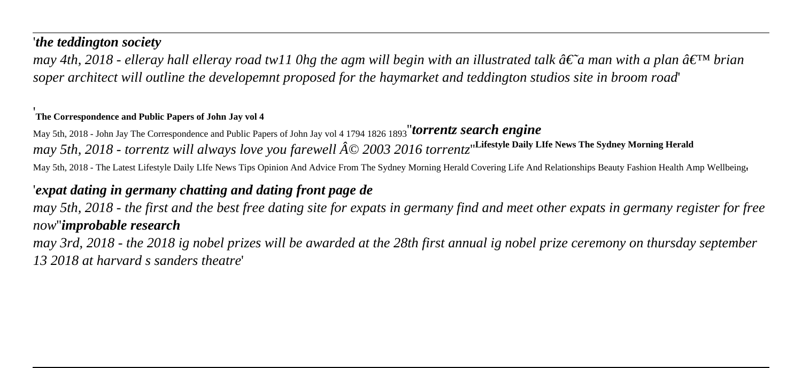#### '*the teddington society*

*may 4th, 2018 - elleray hall elleray road tw11 0hg the agm will begin with an illustrated talk*  $\hat{a}\in \tilde{a}$  *man with a plan*  $\hat{a}\in \tilde{a}$  *brian soper architect will outline the developemnt proposed for the haymarket and teddington studios site in broom road*'

#### '**The Correspondence and Public Papers of John Jay vol 4**

May 5th, 2018 - John Jay The Correspondence and Public Papers of John Jay vol 4 1794 1826 1893''*torrentz search engine may 5th, 2018 - torrentz will always love you farewell*  $\hat{A}$ © 2003 2016 torrentz<sup>"</sup>Lifestyle Daily LIfe News The Sydney Morning Herald May 5th, 2018 - The Latest Lifestyle Daily LIfe News Tips Opinion And Advice From The Sydney Morning Herald Covering Life And Relationships Beauty Fashion Health Amp Wellbeing,

#### '*expat dating in germany chatting and dating front page de*

*may 5th, 2018 - the first and the best free dating site for expats in germany find and meet other expats in germany register for free now*''*improbable research*

*may 3rd, 2018 - the 2018 ig nobel prizes will be awarded at the 28th first annual ig nobel prize ceremony on thursday september 13 2018 at harvard s sanders theatre*'